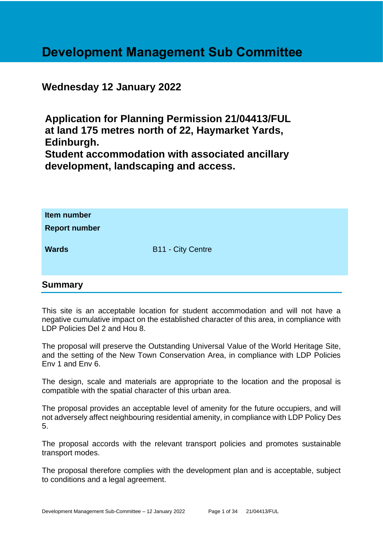# **Development Management Sub Committee**

## **Wednesday 12 January 2022**

**Application for Planning Permission 21/04413/FUL at land 175 metres north of 22, Haymarket Yards, Edinburgh. Student accommodation with associated ancillary development, landscaping and access.**

| Item number<br><b>Report number</b> |                          |
|-------------------------------------|--------------------------|
| <b>Wards</b>                        | <b>B11 - City Centre</b> |

#### **Summary**

This site is an acceptable location for student accommodation and will not have a negative cumulative impact on the established character of this area, in compliance with LDP Policies Del 2 and Hou 8.

The proposal will preserve the Outstanding Universal Value of the World Heritage Site, and the setting of the New Town Conservation Area, in compliance with LDP Policies Env 1 and Env 6.

The design, scale and materials are appropriate to the location and the proposal is compatible with the spatial character of this urban area.

The proposal provides an acceptable level of amenity for the future occupiers, and will not adversely affect neighbouring residential amenity, in compliance with LDP Policy Des 5.

The proposal accords with the relevant transport policies and promotes sustainable transport modes.

The proposal therefore complies with the development plan and is acceptable, subject to conditions and a legal agreement.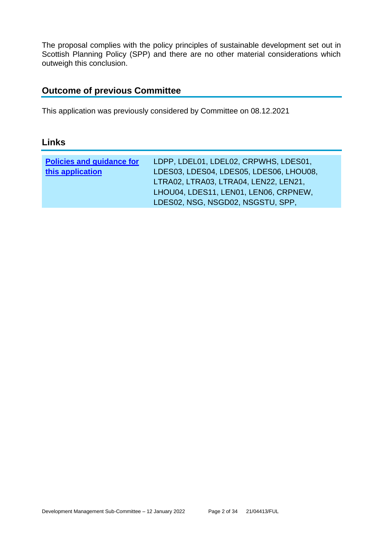The proposal complies with the policy principles of sustainable development set out in Scottish Planning Policy (SPP) and there are no other material considerations which outweigh this conclusion.

### **Outcome of previous Committee**

This application was previously considered by Committee on 08.12.2021

#### **Links**

| <b>Policies and guidance for</b><br>this application | LDPP, LDEL01, LDEL02, CRPWHS, LDES01,<br>LDES03, LDES04, LDES05, LDES06, LHOU08,<br>LTRA02, LTRA03, LTRA04, LEN22, LEN21, |
|------------------------------------------------------|---------------------------------------------------------------------------------------------------------------------------|
|                                                      | LHOU04, LDES11, LEN01, LEN06, CRPNEW,                                                                                     |
|                                                      | LDES02, NSG, NSGD02, NSGSTU, SPP,                                                                                         |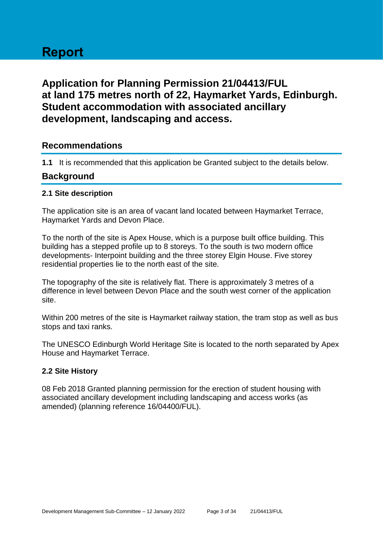# **Report**

# **Application for Planning Permission 21/04413/FUL at land 175 metres north of 22, Haymarket Yards, Edinburgh. Student accommodation with associated ancillary development, landscaping and access.**

#### **Recommendations**

**1.1** It is recommended that this application be Granted subject to the details below.

#### **Background**

#### **2.1 Site description**

The application site is an area of vacant land located between Haymarket Terrace, Haymarket Yards and Devon Place.

To the north of the site is Apex House, which is a purpose built office building. This building has a stepped profile up to 8 storeys. To the south is two modern office developments- Interpoint building and the three storey Elgin House. Five storey residential properties lie to the north east of the site.

The topography of the site is relatively flat. There is approximately 3 metres of a difference in level between Devon Place and the south west corner of the application site.

Within 200 metres of the site is Haymarket railway station, the tram stop as well as bus stops and taxi ranks.

The UNESCO Edinburgh World Heritage Site is located to the north separated by Apex House and Haymarket Terrace.

#### **2.2 Site History**

08 Feb 2018 Granted planning permission for the erection of student housing with associated ancillary development including landscaping and access works (as amended) (planning reference 16/04400/FUL).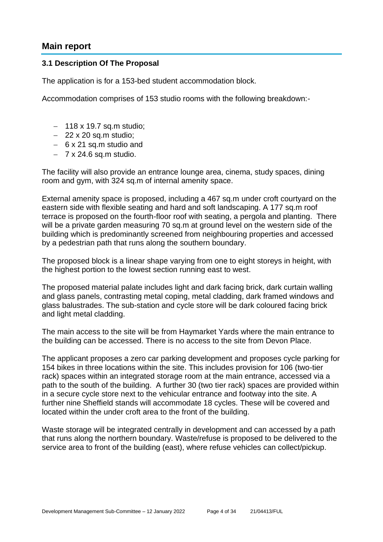#### **Main report**

#### **3.1 Description Of The Proposal**

The application is for a 153-bed student accommodation block.

Accommodation comprises of 153 studio rooms with the following breakdown:-

- − 118 x 19.7 sq.m studio;
- − 22 x 20 sq.m studio;
- − 6 x 21 sq.m studio and
- − 7 x 24.6 sq.m studio.

The facility will also provide an entrance lounge area, cinema, study spaces, dining room and gym, with 324 sq.m of internal amenity space.

External amenity space is proposed, including a 467 sq.m under croft courtyard on the eastern side with flexible seating and hard and soft landscaping. A 177 sq.m roof terrace is proposed on the fourth-floor roof with seating, a pergola and planting. There will be a private garden measuring 70 sq.m at ground level on the western side of the building which is predominantly screened from neighbouring properties and accessed by a pedestrian path that runs along the southern boundary.

The proposed block is a linear shape varying from one to eight storeys in height, with the highest portion to the lowest section running east to west.

The proposed material palate includes light and dark facing brick, dark curtain walling and glass panels, contrasting metal coping, metal cladding, dark framed windows and glass balustrades. The sub-station and cycle store will be dark coloured facing brick and light metal cladding.

The main access to the site will be from Haymarket Yards where the main entrance to the building can be accessed. There is no access to the site from Devon Place.

The applicant proposes a zero car parking development and proposes cycle parking for 154 bikes in three locations within the site. This includes provision for 106 (two-tier rack) spaces within an integrated storage room at the main entrance, accessed via a path to the south of the building. A further 30 (two tier rack) spaces are provided within in a secure cycle store next to the vehicular entrance and footway into the site. A further nine Sheffield stands will accommodate 18 cycles. These will be covered and located within the under croft area to the front of the building.

Waste storage will be integrated centrally in development and can accessed by a path that runs along the northern boundary. Waste/refuse is proposed to be delivered to the service area to front of the building (east), where refuse vehicles can collect/pickup.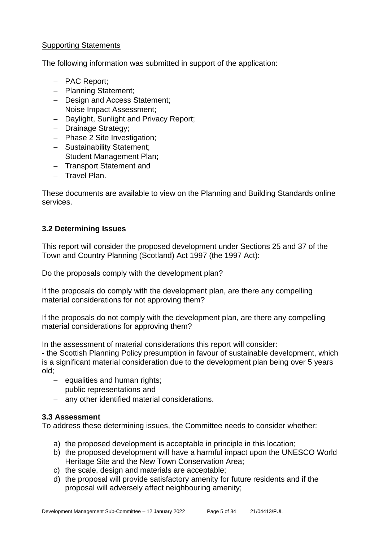#### **Supporting Statements**

The following information was submitted in support of the application:

- − PAC Report;
- − Planning Statement;
- − Design and Access Statement;
- − Noise Impact Assessment;
- − Daylight, Sunlight and Privacy Report;
- − Drainage Strategy;
- − Phase 2 Site Investigation;
- − Sustainability Statement;
- − Student Management Plan;
- − Transport Statement and
- − Travel Plan.

These documents are available to view on the Planning and Building Standards online services.

#### **3.2 Determining Issues**

This report will consider the proposed development under Sections 25 and 37 of the Town and Country Planning (Scotland) Act 1997 (the 1997 Act):

Do the proposals comply with the development plan?

If the proposals do comply with the development plan, are there any compelling material considerations for not approving them?

If the proposals do not comply with the development plan, are there any compelling material considerations for approving them?

In the assessment of material considerations this report will consider:

- the Scottish Planning Policy presumption in favour of sustainable development, which is a significant material consideration due to the development plan being over 5 years old;

- − equalities and human rights;
- − public representations and
- − any other identified material considerations.

#### **3.3 Assessment**

To address these determining issues, the Committee needs to consider whether:

- a) the proposed development is acceptable in principle in this location;
- b) the proposed development will have a harmful impact upon the UNESCO World Heritage Site and the New Town Conservation Area;
- c) the scale, design and materials are acceptable;
- d) the proposal will provide satisfactory amenity for future residents and if the proposal will adversely affect neighbouring amenity;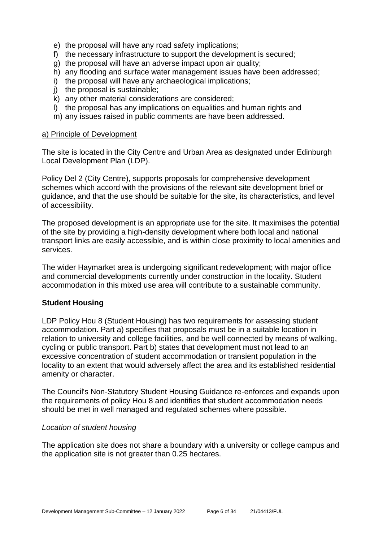- e) the proposal will have any road safety implications;
- f) the necessary infrastructure to support the development is secured;
- g) the proposal will have an adverse impact upon air quality;
- h) any flooding and surface water management issues have been addressed;
- i) the proposal will have any archaeological implications;
- j) the proposal is sustainable;
- k) any other material considerations are considered;
- l) the proposal has any implications on equalities and human rights and
- m) any issues raised in public comments are have been addressed.

#### a) Principle of Development

The site is located in the City Centre and Urban Area as designated under Edinburgh Local Development Plan (LDP).

Policy Del 2 (City Centre), supports proposals for comprehensive development schemes which accord with the provisions of the relevant site development brief or guidance, and that the use should be suitable for the site, its characteristics, and level of accessibility.

The proposed development is an appropriate use for the site. It maximises the potential of the site by providing a high-density development where both local and national transport links are easily accessible, and is within close proximity to local amenities and services.

The wider Haymarket area is undergoing significant redevelopment; with major office and commercial developments currently under construction in the locality. Student accommodation in this mixed use area will contribute to a sustainable community.

#### **Student Housing**

LDP Policy Hou 8 (Student Housing) has two requirements for assessing student accommodation. Part a) specifies that proposals must be in a suitable location in relation to university and college facilities, and be well connected by means of walking, cycling or public transport. Part b) states that development must not lead to an excessive concentration of student accommodation or transient population in the locality to an extent that would adversely affect the area and its established residential amenity or character.

The Council's Non-Statutory Student Housing Guidance re-enforces and expands upon the requirements of policy Hou 8 and identifies that student accommodation needs should be met in well managed and regulated schemes where possible.

#### *Location of student housing*

The application site does not share a boundary with a university or college campus and the application site is not greater than 0.25 hectares.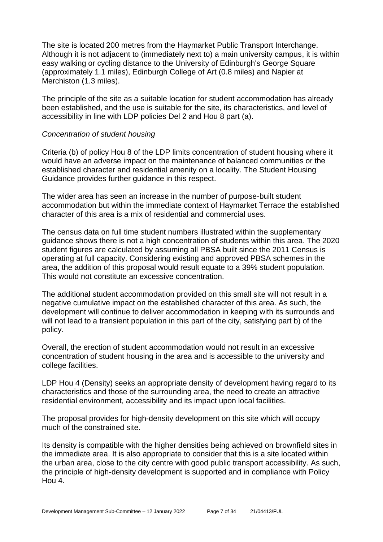The site is located 200 metres from the Haymarket Public Transport Interchange. Although it is not adjacent to (immediately next to) a main university campus, it is within easy walking or cycling distance to the University of Edinburgh's George Square (approximately 1.1 miles), Edinburgh College of Art (0.8 miles) and Napier at Merchiston (1.3 miles).

The principle of the site as a suitable location for student accommodation has already been established, and the use is suitable for the site, its characteristics, and level of accessibility in line with LDP policies Del 2 and Hou 8 part (a).

#### *Concentration of student housing*

Criteria (b) of policy Hou 8 of the LDP limits concentration of student housing where it would have an adverse impact on the maintenance of balanced communities or the established character and residential amenity on a locality. The Student Housing Guidance provides further guidance in this respect.

The wider area has seen an increase in the number of purpose-built student accommodation but within the immediate context of Haymarket Terrace the established character of this area is a mix of residential and commercial uses.

The census data on full time student numbers illustrated within the supplementary guidance shows there is not a high concentration of students within this area. The 2020 student figures are calculated by assuming all PBSA built since the 2011 Census is operating at full capacity. Considering existing and approved PBSA schemes in the area, the addition of this proposal would result equate to a 39% student population. This would not constitute an excessive concentration.

The additional student accommodation provided on this small site will not result in a negative cumulative impact on the established character of this area. As such, the development will continue to deliver accommodation in keeping with its surrounds and will not lead to a transient population in this part of the city, satisfying part b) of the policy.

Overall, the erection of student accommodation would not result in an excessive concentration of student housing in the area and is accessible to the university and college facilities.

LDP Hou 4 (Density) seeks an appropriate density of development having regard to its characteristics and those of the surrounding area, the need to create an attractive residential environment, accessibility and its impact upon local facilities.

The proposal provides for high-density development on this site which will occupy much of the constrained site.

Its density is compatible with the higher densities being achieved on brownfield sites in the immediate area. It is also appropriate to consider that this is a site located within the urban area, close to the city centre with good public transport accessibility. As such, the principle of high-density development is supported and in compliance with Policy Hou 4.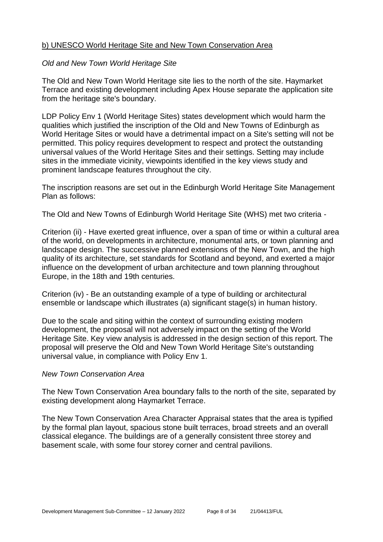#### b) UNESCO World Heritage Site and New Town Conservation Area

#### *Old and New Town World Heritage Site*

The Old and New Town World Heritage site lies to the north of the site. Haymarket Terrace and existing development including Apex House separate the application site from the heritage site's boundary.

LDP Policy Env 1 (World Heritage Sites) states development which would harm the qualities which justified the inscription of the Old and New Towns of Edinburgh as World Heritage Sites or would have a detrimental impact on a Site's setting will not be permitted. This policy requires development to respect and protect the outstanding universal values of the World Heritage Sites and their settings. Setting may include sites in the immediate vicinity, viewpoints identified in the key views study and prominent landscape features throughout the city.

The inscription reasons are set out in the Edinburgh World Heritage Site Management Plan as follows:

The Old and New Towns of Edinburgh World Heritage Site (WHS) met two criteria -

Criterion (ii) - Have exerted great influence, over a span of time or within a cultural area of the world, on developments in architecture, monumental arts, or town planning and landscape design. The successive planned extensions of the New Town, and the high quality of its architecture, set standards for Scotland and beyond, and exerted a major influence on the development of urban architecture and town planning throughout Europe, in the 18th and 19th centuries.

Criterion (iv) - Be an outstanding example of a type of building or architectural ensemble or landscape which illustrates (a) significant stage(s) in human history.

Due to the scale and siting within the context of surrounding existing modern development, the proposal will not adversely impact on the setting of the World Heritage Site. Key view analysis is addressed in the design section of this report. The proposal will preserve the Old and New Town World Heritage Site's outstanding universal value, in compliance with Policy Env 1.

#### *New Town Conservation Area*

The New Town Conservation Area boundary falls to the north of the site, separated by existing development along Haymarket Terrace.

The New Town Conservation Area Character Appraisal states that the area is typified by the formal plan layout, spacious stone built terraces, broad streets and an overall classical elegance. The buildings are of a generally consistent three storey and basement scale, with some four storey corner and central pavilions.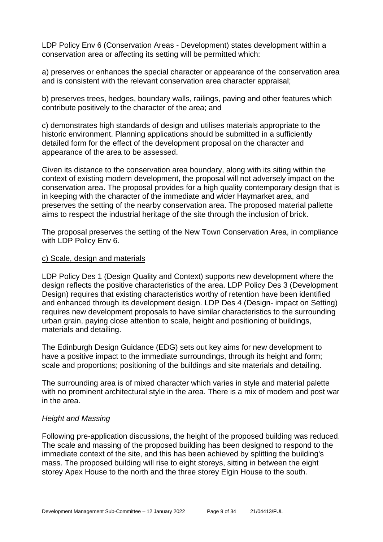LDP Policy Env 6 (Conservation Areas - Development) states development within a conservation area or affecting its setting will be permitted which:

a) preserves or enhances the special character or appearance of the conservation area and is consistent with the relevant conservation area character appraisal;

b) preserves trees, hedges, boundary walls, railings, paving and other features which contribute positively to the character of the area; and

c) demonstrates high standards of design and utilises materials appropriate to the historic environment. Planning applications should be submitted in a sufficiently detailed form for the effect of the development proposal on the character and appearance of the area to be assessed.

Given its distance to the conservation area boundary, along with its siting within the context of existing modern development, the proposal will not adversely impact on the conservation area. The proposal provides for a high quality contemporary design that is in keeping with the character of the immediate and wider Haymarket area, and preserves the setting of the nearby conservation area. The proposed material pallette aims to respect the industrial heritage of the site through the inclusion of brick.

The proposal preserves the setting of the New Town Conservation Area, in compliance with LDP Policy Env 6.

#### c) Scale, design and materials

LDP Policy Des 1 (Design Quality and Context) supports new development where the design reflects the positive characteristics of the area. LDP Policy Des 3 (Development Design) requires that existing characteristics worthy of retention have been identified and enhanced through its development design. LDP Des 4 (Design- impact on Setting) requires new development proposals to have similar characteristics to the surrounding urban grain, paying close attention to scale, height and positioning of buildings, materials and detailing.

The Edinburgh Design Guidance (EDG) sets out key aims for new development to have a positive impact to the immediate surroundings, through its height and form; scale and proportions; positioning of the buildings and site materials and detailing.

The surrounding area is of mixed character which varies in style and material palette with no prominent architectural style in the area. There is a mix of modern and post war in the area.

#### *Height and Massing*

Following pre-application discussions, the height of the proposed building was reduced. The scale and massing of the proposed building has been designed to respond to the immediate context of the site, and this has been achieved by splitting the building's mass. The proposed building will rise to eight storeys, sitting in between the eight storey Apex House to the north and the three storey Elgin House to the south.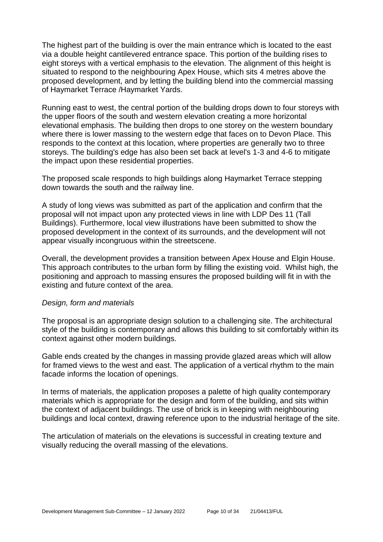The highest part of the building is over the main entrance which is located to the east via a double height cantilevered entrance space. This portion of the building rises to eight storeys with a vertical emphasis to the elevation. The alignment of this height is situated to respond to the neighbouring Apex House, which sits 4 metres above the proposed development, and by letting the building blend into the commercial massing of Haymarket Terrace /Haymarket Yards.

Running east to west, the central portion of the building drops down to four storeys with the upper floors of the south and western elevation creating a more horizontal elevational emphasis. The building then drops to one storey on the western boundary where there is lower massing to the western edge that faces on to Devon Place. This responds to the context at this location, where properties are generally two to three storeys. The building's edge has also been set back at level's 1-3 and 4-6 to mitigate the impact upon these residential properties.

The proposed scale responds to high buildings along Haymarket Terrace stepping down towards the south and the railway line.

A study of long views was submitted as part of the application and confirm that the proposal will not impact upon any protected views in line with LDP Des 11 (Tall Buildings). Furthermore, local view illustrations have been submitted to show the proposed development in the context of its surrounds, and the development will not appear visually incongruous within the streetscene.

Overall, the development provides a transition between Apex House and Elgin House. This approach contributes to the urban form by filling the existing void. Whilst high, the positioning and approach to massing ensures the proposed building will fit in with the existing and future context of the area.

#### *Design, form and materials*

The proposal is an appropriate design solution to a challenging site. The architectural style of the building is contemporary and allows this building to sit comfortably within its context against other modern buildings.

Gable ends created by the changes in massing provide glazed areas which will allow for framed views to the west and east. The application of a vertical rhythm to the main facade informs the location of openings.

In terms of materials, the application proposes a palette of high quality contemporary materials which is appropriate for the design and form of the building, and sits within the context of adjacent buildings. The use of brick is in keeping with neighbouring buildings and local context, drawing reference upon to the industrial heritage of the site.

The articulation of materials on the elevations is successful in creating texture and visually reducing the overall massing of the elevations.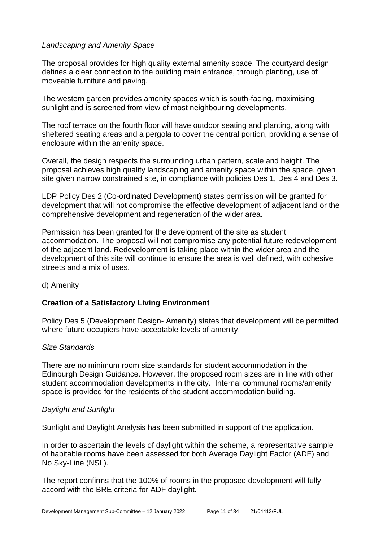#### *Landscaping and Amenity Space*

The proposal provides for high quality external amenity space. The courtyard design defines a clear connection to the building main entrance, through planting, use of moveable furniture and paving.

The western garden provides amenity spaces which is south-facing, maximising sunlight and is screened from view of most neighbouring developments.

The roof terrace on the fourth floor will have outdoor seating and planting, along with sheltered seating areas and a pergola to cover the central portion, providing a sense of enclosure within the amenity space.

Overall, the design respects the surrounding urban pattern, scale and height. The proposal achieves high quality landscaping and amenity space within the space, given site given narrow constrained site, in compliance with policies Des 1, Des 4 and Des 3.

LDP Policy Des 2 (Co-ordinated Development) states permission will be granted for development that will not compromise the effective development of adjacent land or the comprehensive development and regeneration of the wider area.

Permission has been granted for the development of the site as student accommodation. The proposal will not compromise any potential future redevelopment of the adjacent land. Redevelopment is taking place within the wider area and the development of this site will continue to ensure the area is well defined, with cohesive streets and a mix of uses.

#### d) Amenity

#### **Creation of a Satisfactory Living Environment**

Policy Des 5 (Development Design- Amenity) states that development will be permitted where future occupiers have acceptable levels of amenity.

#### *Size Standards*

There are no minimum room size standards for student accommodation in the Edinburgh Design Guidance. However, the proposed room sizes are in line with other student accommodation developments in the city. Internal communal rooms/amenity space is provided for the residents of the student accommodation building.

#### *Daylight and Sunlight*

Sunlight and Daylight Analysis has been submitted in support of the application.

In order to ascertain the levels of daylight within the scheme, a representative sample of habitable rooms have been assessed for both Average Daylight Factor (ADF) and No Sky-Line (NSL).

The report confirms that the 100% of rooms in the proposed development will fully accord with the BRE criteria for ADF daylight.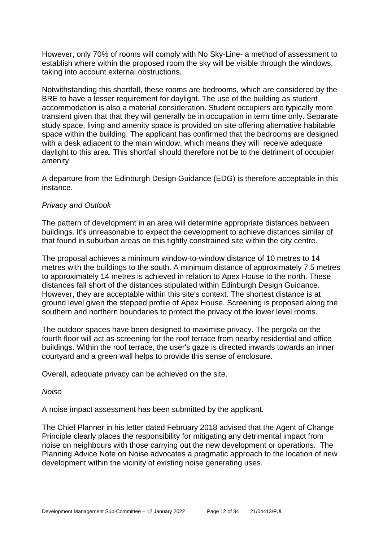However, only 70% of rooms will comply with No Sky-Line- a method of assessment to establish where within the proposed room the sky will be visible through the windows, taking into account external obstructions.

Notwithstanding this shortfall, these rooms are bedrooms, which are considered by the BRE to have a lesser requirement for daylight. The use of the building as student accommodation is also a material consideration. Student occupiers are typically more transient given that that they will generally be in occupation in term time only. Separate study space, living and amenity space is provided on site offering alternative habitable space within the building. The applicant has confirmed that the bedrooms are designed with a desk adjacent to the main window, which means they will receive adequate daylight to this area. This shortfall should therefore not be to the detriment of occupier amenity.

A departure from the Edinburgh Design Guidance (EDG) is therefore acceptable in this instance.

#### *Privacy and Outlook*

The pattern of development in an area will determine appropriate distances between buildings. It's unreasonable to expect the development to achieve distances similar of that found in suburban areas on this tightly constrained site within the city centre.

The proposal achieves a minimum window-to-window distance of 10 metres to 14 metres with the buildings to the south. A minimum distance of approximately 7.5 metres to approximately 14 metres is achieved in relation to Apex House to the north. These distances fall short of the distances stipulated within Edinburgh Design Guidance. However, they are acceptable within this site's context. The shortest distance is at ground level given the stepped profile of Apex House. Screening is proposed along the southern and northern boundaries to protect the privacy of the lower level rooms.

The outdoor spaces have been designed to maximise privacy. The pergola on the fourth floor will act as screening for the roof terrace from nearby residential and office buildings. Within the roof terrace, the user's gaze is directed inwards towards an inner courtyard and a green wall helps to provide this sense of enclosure.

Overall, adequate privacy can be achieved on the site.

#### *Noise*

A noise impact assessment has been submitted by the applicant.

The Chief Planner in his letter dated February 2018 advised that the Agent of Change Principle clearly places the responsibility for mitigating any detrimental impact from noise on neighbours with those carrying out the new development or operations. The Planning Advice Note on Noise advocates a pragmatic approach to the location of new development within the vicinity of existing noise generating uses.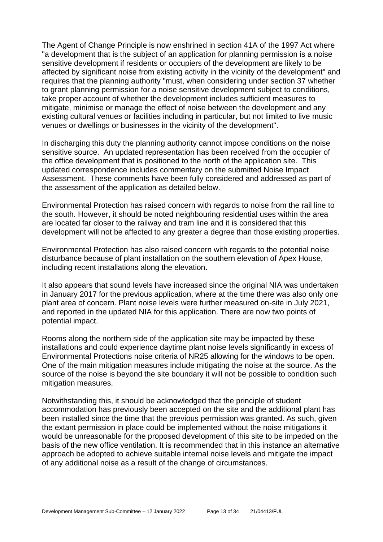The Agent of Change Principle is now enshrined in section 41A of the 1997 Act where "a development that is the subject of an application for planning permission is a noise sensitive development if residents or occupiers of the development are likely to be affected by significant noise from existing activity in the vicinity of the development" and requires that the planning authority "must, when considering under section 37 whether to grant planning permission for a noise sensitive development subject to conditions, take proper account of whether the development includes sufficient measures to mitigate, minimise or manage the effect of noise between the development and any existing cultural venues or facilities including in particular, but not limited to live music venues or dwellings or businesses in the vicinity of the development".

In discharging this duty the planning authority cannot impose conditions on the noise sensitive source. An updated representation has been received from the occupier of the office development that is positioned to the north of the application site. This updated correspondence includes commentary on the submitted Noise Impact Assessment. These comments have been fully considered and addressed as part of the assessment of the application as detailed below.

Environmental Protection has raised concern with regards to noise from the rail line to the south. However, it should be noted neighbouring residential uses within the area are located far closer to the railway and tram line and it is considered that this development will not be affected to any greater a degree than those existing properties.

Environmental Protection has also raised concern with regards to the potential noise disturbance because of plant installation on the southern elevation of Apex House, including recent installations along the elevation.

It also appears that sound levels have increased since the original NIA was undertaken in January 2017 for the previous application, where at the time there was also only one plant area of concern. Plant noise levels were further measured on-site in July 2021, and reported in the updated NIA for this application. There are now two points of potential impact.

Rooms along the northern side of the application site may be impacted by these installations and could experience daytime plant noise levels significantly in excess of Environmental Protections noise criteria of NR25 allowing for the windows to be open. One of the main mitigation measures include mitigating the noise at the source. As the source of the noise is beyond the site boundary it will not be possible to condition such mitigation measures.

Notwithstanding this, it should be acknowledged that the principle of student accommodation has previously been accepted on the site and the additional plant has been installed since the time that the previous permission was granted. As such, given the extant permission in place could be implemented without the noise mitigations it would be unreasonable for the proposed development of this site to be impeded on the basis of the new office ventilation. It is recommended that in this instance an alternative approach be adopted to achieve suitable internal noise levels and mitigate the impact of any additional noise as a result of the change of circumstances.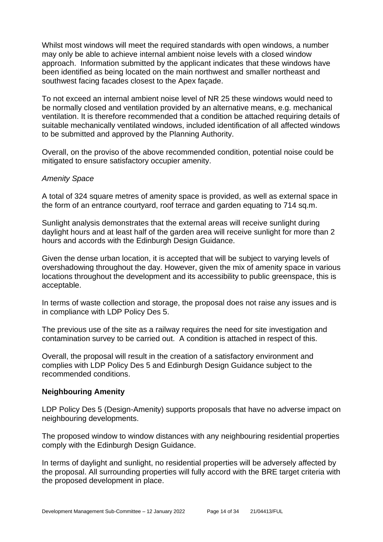Whilst most windows will meet the required standards with open windows, a number may only be able to achieve internal ambient noise levels with a closed window approach. Information submitted by the applicant indicates that these windows have been identified as being located on the main northwest and smaller northeast and southwest facing facades closest to the Apex façade.

To not exceed an internal ambient noise level of NR 25 these windows would need to be normally closed and ventilation provided by an alternative means, e.g. mechanical ventilation. It is therefore recommended that a condition be attached requiring details of suitable mechanically ventilated windows, included identification of all affected windows to be submitted and approved by the Planning Authority.

Overall, on the proviso of the above recommended condition, potential noise could be mitigated to ensure satisfactory occupier amenity.

#### *Amenity Space*

A total of 324 square metres of amenity space is provided, as well as external space in the form of an entrance courtyard, roof terrace and garden equating to 714 sq.m.

Sunlight analysis demonstrates that the external areas will receive sunlight during daylight hours and at least half of the garden area will receive sunlight for more than 2 hours and accords with the Edinburgh Design Guidance.

Given the dense urban location, it is accepted that will be subject to varying levels of overshadowing throughout the day. However, given the mix of amenity space in various locations throughout the development and its accessibility to public greenspace, this is acceptable.

In terms of waste collection and storage, the proposal does not raise any issues and is in compliance with LDP Policy Des 5.

The previous use of the site as a railway requires the need for site investigation and contamination survey to be carried out. A condition is attached in respect of this.

Overall, the proposal will result in the creation of a satisfactory environment and complies with LDP Policy Des 5 and Edinburgh Design Guidance subject to the recommended conditions.

#### **Neighbouring Amenity**

LDP Policy Des 5 (Design-Amenity) supports proposals that have no adverse impact on neighbouring developments.

The proposed window to window distances with any neighbouring residential properties comply with the Edinburgh Design Guidance.

In terms of daylight and sunlight, no residential properties will be adversely affected by the proposal. All surrounding properties will fully accord with the BRE target criteria with the proposed development in place.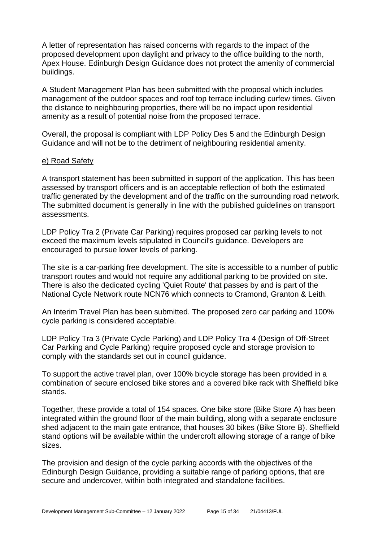A letter of representation has raised concerns with regards to the impact of the proposed development upon daylight and privacy to the office building to the north, Apex House. Edinburgh Design Guidance does not protect the amenity of commercial buildings.

A Student Management Plan has been submitted with the proposal which includes management of the outdoor spaces and roof top terrace including curfew times. Given the distance to neighbouring properties, there will be no impact upon residential amenity as a result of potential noise from the proposed terrace.

Overall, the proposal is compliant with LDP Policy Des 5 and the Edinburgh Design Guidance and will not be to the detriment of neighbouring residential amenity.

#### e) Road Safety

A transport statement has been submitted in support of the application. This has been assessed by transport officers and is an acceptable reflection of both the estimated traffic generated by the development and of the traffic on the surrounding road network. The submitted document is generally in line with the published guidelines on transport assessments.

LDP Policy Tra 2 (Private Car Parking) requires proposed car parking levels to not exceed the maximum levels stipulated in Council's guidance. Developers are encouraged to pursue lower levels of parking.

The site is a car-parking free development. The site is accessible to a number of public transport routes and would not require any additional parking to be provided on site. There is also the dedicated cycling 'Quiet Route' that passes by and is part of the National Cycle Network route NCN76 which connects to Cramond, Granton & Leith.

An Interim Travel Plan has been submitted. The proposed zero car parking and 100% cycle parking is considered acceptable.

LDP Policy Tra 3 (Private Cycle Parking) and LDP Policy Tra 4 (Design of Off-Street Car Parking and Cycle Parking) require proposed cycle and storage provision to comply with the standards set out in council guidance.

To support the active travel plan, over 100% bicycle storage has been provided in a combination of secure enclosed bike stores and a covered bike rack with Sheffield bike stands.

Together, these provide a total of 154 spaces. One bike store (Bike Store A) has been integrated within the ground floor of the main building, along with a separate enclosure shed adjacent to the main gate entrance, that houses 30 bikes (Bike Store B). Sheffield stand options will be available within the undercroft allowing storage of a range of bike sizes.

The provision and design of the cycle parking accords with the objectives of the Edinburgh Design Guidance, providing a suitable range of parking options, that are secure and undercover, within both integrated and standalone facilities.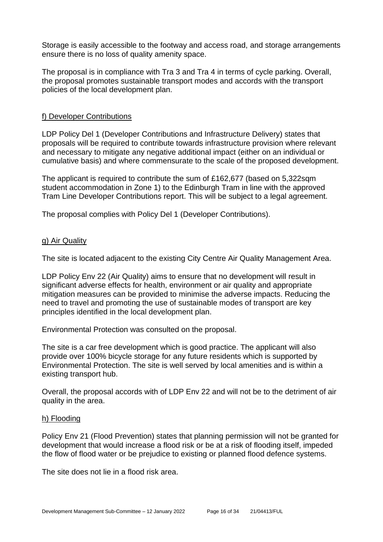Storage is easily accessible to the footway and access road, and storage arrangements ensure there is no loss of quality amenity space.

The proposal is in compliance with Tra 3 and Tra 4 in terms of cycle parking. Overall, the proposal promotes sustainable transport modes and accords with the transport policies of the local development plan.

#### f) Developer Contributions

LDP Policy Del 1 (Developer Contributions and Infrastructure Delivery) states that proposals will be required to contribute towards infrastructure provision where relevant and necessary to mitigate any negative additional impact (either on an individual or cumulative basis) and where commensurate to the scale of the proposed development.

The applicant is required to contribute the sum of £162,677 (based on 5,322sqm student accommodation in Zone 1) to the Edinburgh Tram in line with the approved Tram Line Developer Contributions report. This will be subject to a legal agreement.

The proposal complies with Policy Del 1 (Developer Contributions).

#### g) Air Quality

The site is located adjacent to the existing City Centre Air Quality Management Area.

LDP Policy Env 22 (Air Quality) aims to ensure that no development will result in significant adverse effects for health, environment or air quality and appropriate mitigation measures can be provided to minimise the adverse impacts. Reducing the need to travel and promoting the use of sustainable modes of transport are key principles identified in the local development plan.

Environmental Protection was consulted on the proposal.

The site is a car free development which is good practice. The applicant will also provide over 100% bicycle storage for any future residents which is supported by Environmental Protection. The site is well served by local amenities and is within a existing transport hub.

Overall, the proposal accords with of LDP Env 22 and will not be to the detriment of air quality in the area.

#### h) Flooding

Policy Env 21 (Flood Prevention) states that planning permission will not be granted for development that would increase a flood risk or be at a risk of flooding itself, impeded the flow of flood water or be prejudice to existing or planned flood defence systems.

The site does not lie in a flood risk area.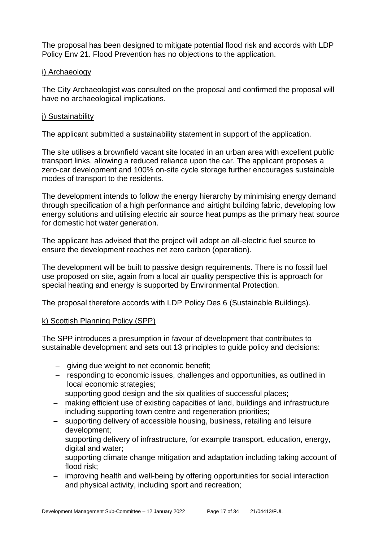The proposal has been designed to mitigate potential flood risk and accords with LDP Policy Env 21. Flood Prevention has no objections to the application.

#### i) Archaeology

The City Archaeologist was consulted on the proposal and confirmed the proposal will have no archaeological implications.

#### i) Sustainability

The applicant submitted a sustainability statement in support of the application.

The site utilises a brownfield vacant site located in an urban area with excellent public transport links, allowing a reduced reliance upon the car. The applicant proposes a zero-car development and 100% on-site cycle storage further encourages sustainable modes of transport to the residents.

The development intends to follow the energy hierarchy by minimising energy demand through specification of a high performance and airtight building fabric, developing low energy solutions and utilising electric air source heat pumps as the primary heat source for domestic hot water generation.

The applicant has advised that the project will adopt an all-electric fuel source to ensure the development reaches net zero carbon (operation).

The development will be built to passive design requirements. There is no fossil fuel use proposed on site, again from a local air quality perspective this is approach for special heating and energy is supported by Environmental Protection.

The proposal therefore accords with LDP Policy Des 6 (Sustainable Buildings).

#### k) Scottish Planning Policy (SPP)

The SPP introduces a presumption in favour of development that contributes to sustainable development and sets out 13 principles to guide policy and decisions:

- − giving due weight to net economic benefit;
- − responding to economic issues, challenges and opportunities, as outlined in local economic strategies;
- − supporting good design and the six qualities of successful places;
- − making efficient use of existing capacities of land, buildings and infrastructure including supporting town centre and regeneration priorities;
- − supporting delivery of accessible housing, business, retailing and leisure development;
- − supporting delivery of infrastructure, for example transport, education, energy, digital and water;
- − supporting climate change mitigation and adaptation including taking account of flood risk;
- − improving health and well-being by offering opportunities for social interaction and physical activity, including sport and recreation;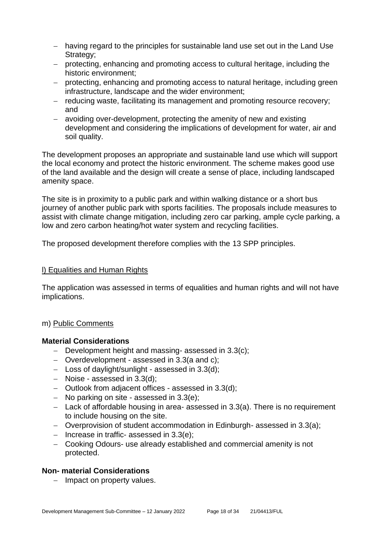- − having regard to the principles for sustainable land use set out in the Land Use Strategy;
- − protecting, enhancing and promoting access to cultural heritage, including the historic environment;
- − protecting, enhancing and promoting access to natural heritage, including green infrastructure, landscape and the wider environment;
- − reducing waste, facilitating its management and promoting resource recovery; and
- − avoiding over-development, protecting the amenity of new and existing development and considering the implications of development for water, air and soil quality.

The development proposes an appropriate and sustainable land use which will support the local economy and protect the historic environment. The scheme makes good use of the land available and the design will create a sense of place, including landscaped amenity space.

The site is in proximity to a public park and within walking distance or a short bus journey of another public park with sports facilities. The proposals include measures to assist with climate change mitigation, including zero car parking, ample cycle parking, a low and zero carbon heating/hot water system and recycling facilities.

The proposed development therefore complies with the 13 SPP principles.

#### l) Equalities and Human Rights

The application was assessed in terms of equalities and human rights and will not have implications.

#### m) Public Comments

#### **Material Considerations**

- − Development height and massing- assessed in 3.3(c);
- − Overdevelopment assessed in 3.3(a and c);
- − Loss of daylight/sunlight assessed in 3.3(d);
- − Noise assessed in 3.3(d);
- − Outlook from adjacent offices assessed in 3.3(d);
- − No parking on site assessed in 3.3(e);
- − Lack of affordable housing in area- assessed in 3.3(a). There is no requirement to include housing on the site.
- − Overprovision of student accommodation in Edinburgh- assessed in 3.3(a);
- − Increase in traffic- assessed in 3.3(e);
- − Cooking Odours- use already established and commercial amenity is not protected.

#### **Non- material Considerations**

− Impact on property values.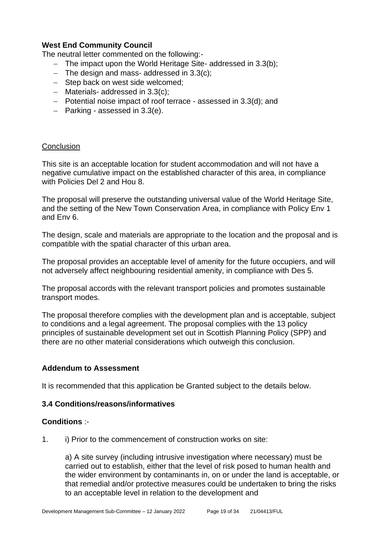#### **West End Community Council**

The neutral letter commented on the following:-

- − The impact upon the World Heritage Site- addressed in 3.3(b);
- − The design and mass- addressed in 3.3(c);
- − Step back on west side welcomed;
- − Materials- addressed in 3.3(c);
- − Potential noise impact of roof terrace assessed in 3.3(d); and
- − Parking assessed in 3.3(e).

#### **Conclusion**

This site is an acceptable location for student accommodation and will not have a negative cumulative impact on the established character of this area, in compliance with Policies Del 2 and Hou 8.

The proposal will preserve the outstanding universal value of the World Heritage Site, and the setting of the New Town Conservation Area, in compliance with Policy Env 1 and Env 6.

The design, scale and materials are appropriate to the location and the proposal and is compatible with the spatial character of this urban area.

The proposal provides an acceptable level of amenity for the future occupiers, and will not adversely affect neighbouring residential amenity, in compliance with Des 5.

The proposal accords with the relevant transport policies and promotes sustainable transport modes.

The proposal therefore complies with the development plan and is acceptable, subject to conditions and a legal agreement. The proposal complies with the 13 policy principles of sustainable development set out in Scottish Planning Policy (SPP) and there are no other material considerations which outweigh this conclusion.

#### **Addendum to Assessment**

It is recommended that this application be Granted subject to the details below.

#### **3.4 Conditions/reasons/informatives**

#### **Conditions** :-

1. i) Prior to the commencement of construction works on site:

a) A site survey (including intrusive investigation where necessary) must be carried out to establish, either that the level of risk posed to human health and the wider environment by contaminants in, on or under the land is acceptable, or that remedial and/or protective measures could be undertaken to bring the risks to an acceptable level in relation to the development and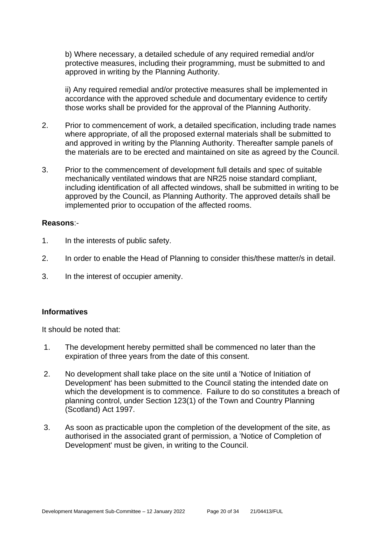b) Where necessary, a detailed schedule of any required remedial and/or protective measures, including their programming, must be submitted to and approved in writing by the Planning Authority.

ii) Any required remedial and/or protective measures shall be implemented in accordance with the approved schedule and documentary evidence to certify those works shall be provided for the approval of the Planning Authority.

- 2. Prior to commencement of work, a detailed specification, including trade names where appropriate, of all the proposed external materials shall be submitted to and approved in writing by the Planning Authority. Thereafter sample panels of the materials are to be erected and maintained on site as agreed by the Council.
- 3. Prior to the commencement of development full details and spec of suitable mechanically ventilated windows that are NR25 noise standard compliant, including identification of all affected windows, shall be submitted in writing to be approved by the Council, as Planning Authority. The approved details shall be implemented prior to occupation of the affected rooms.

#### **Reasons**:-

- 1. In the interests of public safety.
- 2. In order to enable the Head of Planning to consider this/these matter/s in detail.
- 3. In the interest of occupier amenity.

#### **Informatives**

It should be noted that:

- 1. The development hereby permitted shall be commenced no later than the expiration of three years from the date of this consent.
- 2. No development shall take place on the site until a 'Notice of Initiation of Development' has been submitted to the Council stating the intended date on which the development is to commence. Failure to do so constitutes a breach of planning control, under Section 123(1) of the Town and Country Planning (Scotland) Act 1997.
- 3. As soon as practicable upon the completion of the development of the site, as authorised in the associated grant of permission, a 'Notice of Completion of Development' must be given, in writing to the Council.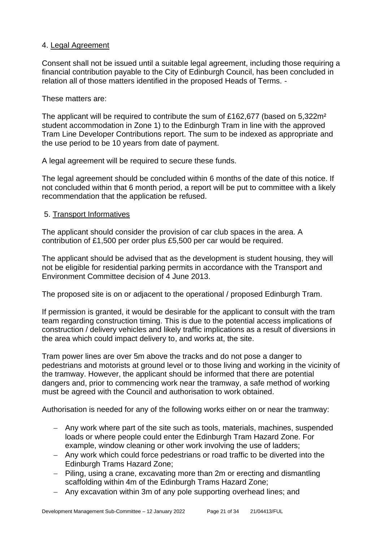#### 4. Legal Agreement

Consent shall not be issued until a suitable legal agreement, including those requiring a financial contribution payable to the City of Edinburgh Council, has been concluded in relation all of those matters identified in the proposed Heads of Terms. -

#### These matters are:

The applicant will be required to contribute the sum of £162,677 (based on 5,322m² student accommodation in Zone 1) to the Edinburgh Tram in line with the approved Tram Line Developer Contributions report. The sum to be indexed as appropriate and the use period to be 10 years from date of payment.

A legal agreement will be required to secure these funds.

The legal agreement should be concluded within 6 months of the date of this notice. If not concluded within that 6 month period, a report will be put to committee with a likely recommendation that the application be refused.

#### 5. Transport Informatives

The applicant should consider the provision of car club spaces in the area. A contribution of £1,500 per order plus £5,500 per car would be required.

The applicant should be advised that as the development is student housing, they will not be eligible for residential parking permits in accordance with the Transport and Environment Committee decision of 4 June 2013.

The proposed site is on or adjacent to the operational / proposed Edinburgh Tram.

If permission is granted, it would be desirable for the applicant to consult with the tram team regarding construction timing. This is due to the potential access implications of construction / delivery vehicles and likely traffic implications as a result of diversions in the area which could impact delivery to, and works at, the site.

Tram power lines are over 5m above the tracks and do not pose a danger to pedestrians and motorists at ground level or to those living and working in the vicinity of the tramway. However, the applicant should be informed that there are potential dangers and, prior to commencing work near the tramway, a safe method of working must be agreed with the Council and authorisation to work obtained.

Authorisation is needed for any of the following works either on or near the tramway:

- − Any work where part of the site such as tools, materials, machines, suspended loads or where people could enter the Edinburgh Tram Hazard Zone. For example, window cleaning or other work involving the use of ladders;
- − Any work which could force pedestrians or road traffic to be diverted into the Edinburgh Trams Hazard Zone;
- − Piling, using a crane, excavating more than 2m or erecting and dismantling scaffolding within 4m of the Edinburgh Trams Hazard Zone;
- − Any excavation within 3m of any pole supporting overhead lines; and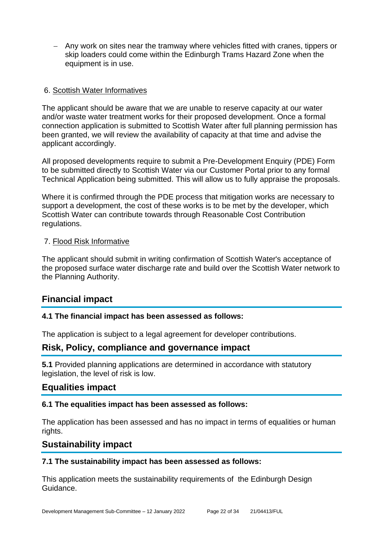− Any work on sites near the tramway where vehicles fitted with cranes, tippers or skip loaders could come within the Edinburgh Trams Hazard Zone when the equipment is in use.

#### 6. Scottish Water Informatives

The applicant should be aware that we are unable to reserve capacity at our water and/or waste water treatment works for their proposed development. Once a formal connection application is submitted to Scottish Water after full planning permission has been granted, we will review the availability of capacity at that time and advise the applicant accordingly.

All proposed developments require to submit a Pre-Development Enquiry (PDE) Form to be submitted directly to Scottish Water via our Customer Portal prior to any formal Technical Application being submitted. This will allow us to fully appraise the proposals.

Where it is confirmed through the PDE process that mitigation works are necessary to support a development, the cost of these works is to be met by the developer, which Scottish Water can contribute towards through Reasonable Cost Contribution regulations.

#### 7. Flood Risk Informative

The applicant should submit in writing confirmation of Scottish Water's acceptance of the proposed surface water discharge rate and build over the Scottish Water network to the Planning Authority.

#### **Financial impact**

#### **4.1 The financial impact has been assessed as follows:**

The application is subject to a legal agreement for developer contributions.

#### **Risk, Policy, compliance and governance impact**

**5.1** Provided planning applications are determined in accordance with statutory legislation, the level of risk is low.

#### **Equalities impact**

#### **6.1 The equalities impact has been assessed as follows:**

The application has been assessed and has no impact in terms of equalities or human rights.

#### **Sustainability impact**

#### **7.1 The sustainability impact has been assessed as follows:**

This application meets the sustainability requirements of the Edinburgh Design Guidance.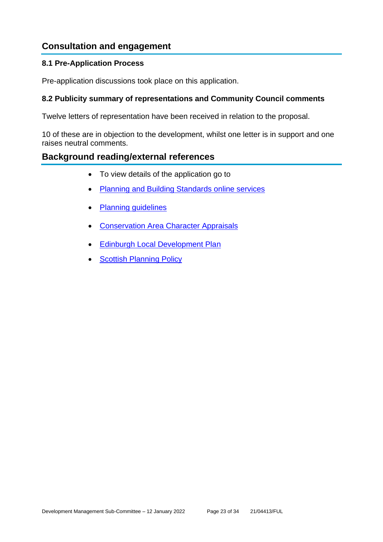## **Consultation and engagement**

#### **8.1 Pre-Application Process**

Pre-application discussions took place on this application.

#### **8.2 Publicity summary of representations and Community Council comments**

Twelve letters of representation have been received in relation to the proposal.

10 of these are in objection to the development, whilst one letter is in support and one raises neutral comments.

#### **Background reading/external references**

- To view details of the application go to
- [Planning and Building Standards online services](https://citydev-portal.edinburgh.gov.uk/idoxpa-web/search.do?action=simple&searchType=Application)
- [Planning guidelines](http://www.edinburgh.gov.uk/planningguidelines)
- **[Conservation Area Character Appraisals](http://www.edinburgh.gov.uk/characterappraisals)**
- [Edinburgh Local Development Plan](http://www.edinburgh.gov.uk/localdevelopmentplan)
- **[Scottish Planning Policy](http://www.scotland.gov.uk/Topics/Built-Environment/planning/Policy)**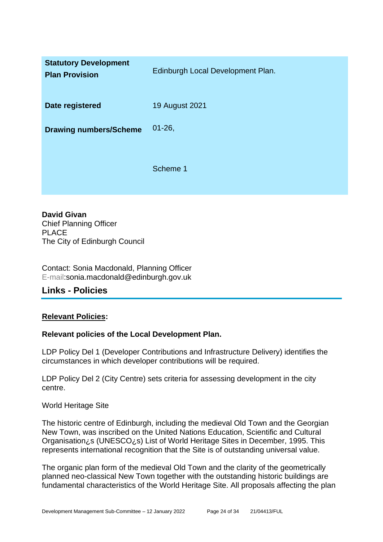| <b>Statutory Development</b><br><b>Plan Provision</b> | Edinburgh Local Development Plan. |
|-------------------------------------------------------|-----------------------------------|
| Date registered                                       | <b>19 August 2021</b>             |
| <b>Drawing numbers/Scheme</b>                         | $01 - 26$ ,                       |
|                                                       | Scheme 1                          |

**David Givan** Chief Planning Officer PLACE The City of Edinburgh Council

Contact: Sonia Macdonald, Planning Officer E-mail:sonia.macdonald@edinburgh.gov.uk

#### **Links - Policies**

#### **Relevant Policies:**

#### **Relevant policies of the Local Development Plan.**

LDP Policy Del 1 (Developer Contributions and Infrastructure Delivery) identifies the circumstances in which developer contributions will be required.

LDP Policy Del 2 (City Centre) sets criteria for assessing development in the city centre.

#### World Heritage Site

The historic centre of Edinburgh, including the medieval Old Town and the Georgian New Town, was inscribed on the United Nations Education, Scientific and Cultural Organisation¿s (UNESCO¿s) List of World Heritage Sites in December, 1995. This represents international recognition that the Site is of outstanding universal value.

The organic plan form of the medieval Old Town and the clarity of the geometrically planned neo-classical New Town together with the outstanding historic buildings are fundamental characteristics of the World Heritage Site. All proposals affecting the plan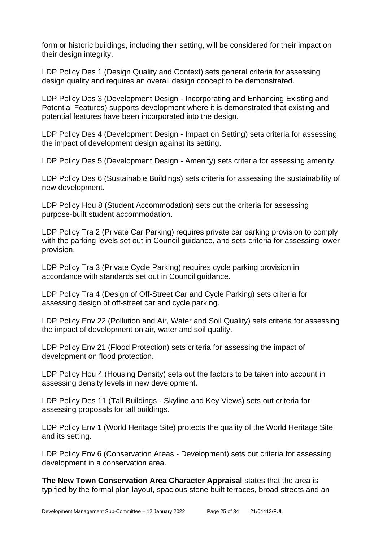form or historic buildings, including their setting, will be considered for their impact on their design integrity.

LDP Policy Des 1 (Design Quality and Context) sets general criteria for assessing design quality and requires an overall design concept to be demonstrated.

LDP Policy Des 3 (Development Design - Incorporating and Enhancing Existing and Potential Features) supports development where it is demonstrated that existing and potential features have been incorporated into the design.

LDP Policy Des 4 (Development Design - Impact on Setting) sets criteria for assessing the impact of development design against its setting.

LDP Policy Des 5 (Development Design - Amenity) sets criteria for assessing amenity.

LDP Policy Des 6 (Sustainable Buildings) sets criteria for assessing the sustainability of new development.

LDP Policy Hou 8 (Student Accommodation) sets out the criteria for assessing purpose-built student accommodation.

LDP Policy Tra 2 (Private Car Parking) requires private car parking provision to comply with the parking levels set out in Council guidance, and sets criteria for assessing lower provision.

LDP Policy Tra 3 (Private Cycle Parking) requires cycle parking provision in accordance with standards set out in Council guidance.

LDP Policy Tra 4 (Design of Off-Street Car and Cycle Parking) sets criteria for assessing design of off-street car and cycle parking.

LDP Policy Env 22 (Pollution and Air, Water and Soil Quality) sets criteria for assessing the impact of development on air, water and soil quality.

LDP Policy Env 21 (Flood Protection) sets criteria for assessing the impact of development on flood protection.

LDP Policy Hou 4 (Housing Density) sets out the factors to be taken into account in assessing density levels in new development.

LDP Policy Des 11 (Tall Buildings - Skyline and Key Views) sets out criteria for assessing proposals for tall buildings.

LDP Policy Env 1 (World Heritage Site) protects the quality of the World Heritage Site and its setting.

LDP Policy Env 6 (Conservation Areas - Development) sets out criteria for assessing development in a conservation area.

**The New Town Conservation Area Character Appraisal** states that the area is typified by the formal plan layout, spacious stone built terraces, broad streets and an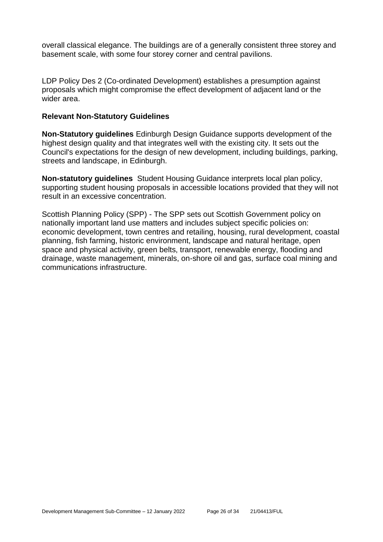overall classical elegance. The buildings are of a generally consistent three storey and basement scale, with some four storey corner and central pavilions.

LDP Policy Des 2 (Co-ordinated Development) establishes a presumption against proposals which might compromise the effect development of adjacent land or the wider area.

#### **Relevant Non-Statutory Guidelines**

**Non-Statutory guidelines** Edinburgh Design Guidance supports development of the highest design quality and that integrates well with the existing city. It sets out the Council's expectations for the design of new development, including buildings, parking, streets and landscape, in Edinburgh.

**Non-statutory guidelines** Student Housing Guidance interprets local plan policy, supporting student housing proposals in accessible locations provided that they will not result in an excessive concentration.

Scottish Planning Policy (SPP) - The SPP sets out Scottish Government policy on nationally important land use matters and includes subject specific policies on: economic development, town centres and retailing, housing, rural development, coastal planning, fish farming, historic environment, landscape and natural heritage, open space and physical activity, green belts, transport, renewable energy, flooding and drainage, waste management, minerals, on-shore oil and gas, surface coal mining and communications infrastructure.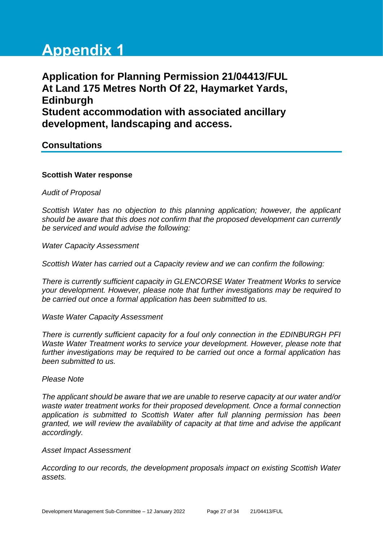# **Appendix 1**

**Application for Planning Permission 21/04413/FUL At Land 175 Metres North Of 22, Haymarket Yards, Edinburgh Student accommodation with associated ancillary development, landscaping and access.**

**Consultations**

#### **Scottish Water response**

*Audit of Proposal*

*Scottish Water has no objection to this planning application; however, the applicant should be aware that this does not confirm that the proposed development can currently be serviced and would advise the following:*

*Water Capacity Assessment*

*Scottish Water has carried out a Capacity review and we can confirm the following:*

*There is currently sufficient capacity in GLENCORSE Water Treatment Works to service your development. However, please note that further investigations may be required to be carried out once a formal application has been submitted to us.*

*Waste Water Capacity Assessment*

*There is currently sufficient capacity for a foul only connection in the EDINBURGH PFI Waste Water Treatment works to service your development. However, please note that further investigations may be required to be carried out once a formal application has been submitted to us.*

#### *Please Note*

*The applicant should be aware that we are unable to reserve capacity at our water and/or waste water treatment works for their proposed development. Once a formal connection application is submitted to Scottish Water after full planning permission has been granted, we will review the availability of capacity at that time and advise the applicant accordingly.*

*Asset Impact Assessment*

*According to our records, the development proposals impact on existing Scottish Water assets.*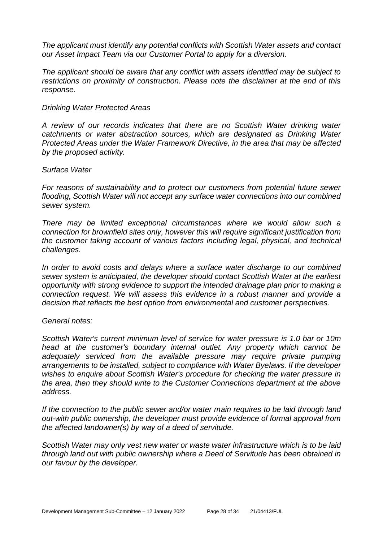*The applicant must identify any potential conflicts with Scottish Water assets and contact our Asset Impact Team via our Customer Portal to apply for a diversion.*

*The applicant should be aware that any conflict with assets identified may be subject to restrictions on proximity of construction. Please note the disclaimer at the end of this response.*

#### *Drinking Water Protected Areas*

*A review of our records indicates that there are no Scottish Water drinking water catchments or water abstraction sources, which are designated as Drinking Water Protected Areas under the Water Framework Directive, in the area that may be affected by the proposed activity.*

#### *Surface Water*

*For reasons of sustainability and to protect our customers from potential future sewer flooding, Scottish Water will not accept any surface water connections into our combined sewer system.*

*There may be limited exceptional circumstances where we would allow such a connection for brownfield sites only, however this will require significant justification from the customer taking account of various factors including legal, physical, and technical challenges.*

*In order to avoid costs and delays where a surface water discharge to our combined sewer system is anticipated, the developer should contact Scottish Water at the earliest opportunity with strong evidence to support the intended drainage plan prior to making a connection request. We will assess this evidence in a robust manner and provide a decision that reflects the best option from environmental and customer perspectives.*

#### *General notes:*

*Scottish Water's current minimum level of service for water pressure is 1.0 bar or 10m head at the customer's boundary internal outlet. Any property which cannot be adequately serviced from the available pressure may require private pumping arrangements to be installed, subject to compliance with Water Byelaws. If the developer wishes to enquire about Scottish Water's procedure for checking the water pressure in the area, then they should write to the Customer Connections department at the above address.*

*If the connection to the public sewer and/or water main requires to be laid through land out-with public ownership, the developer must provide evidence of formal approval from the affected landowner(s) by way of a deed of servitude.*

*Scottish Water may only vest new water or waste water infrastructure which is to be laid through land out with public ownership where a Deed of Servitude has been obtained in our favour by the developer.*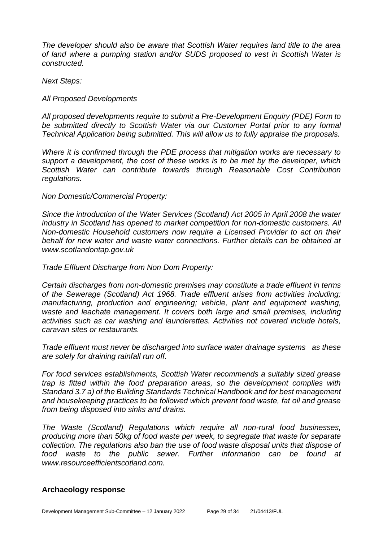*The developer should also be aware that Scottish Water requires land title to the area of land where a pumping station and/or SUDS proposed to vest in Scottish Water is constructed.*

*Next Steps:*

#### *All Proposed Developments*

*All proposed developments require to submit a Pre-Development Enquiry (PDE) Form to be submitted directly to Scottish Water via our Customer Portal prior to any formal Technical Application being submitted. This will allow us to fully appraise the proposals.*

*Where it is confirmed through the PDE process that mitigation works are necessary to support a development, the cost of these works is to be met by the developer, which Scottish Water can contribute towards through Reasonable Cost Contribution regulations.*

#### *Non Domestic/Commercial Property:*

*Since the introduction of the Water Services (Scotland) Act 2005 in April 2008 the water industry in Scotland has opened to market competition for non-domestic customers. All Non-domestic Household customers now require a Licensed Provider to act on their behalf for new water and waste water connections. Further details can be obtained at www.scotlandontap.gov.uk*

#### *Trade Effluent Discharge from Non Dom Property:*

*Certain discharges from non-domestic premises may constitute a trade effluent in terms of the Sewerage (Scotland) Act 1968. Trade effluent arises from activities including; manufacturing, production and engineering; vehicle, plant and equipment washing, waste and leachate management. It covers both large and small premises, including activities such as car washing and launderettes. Activities not covered include hotels, caravan sites or restaurants.*

*Trade effluent must never be discharged into surface water drainage systems as these are solely for draining rainfall run off.*

*For food services establishments, Scottish Water recommends a suitably sized grease trap is fitted within the food preparation areas, so the development complies with Standard 3.7 a) of the Building Standards Technical Handbook and for best management and housekeeping practices to be followed which prevent food waste, fat oil and grease from being disposed into sinks and drains.*

*The Waste (Scotland) Regulations which require all non-rural food businesses, producing more than 50kg of food waste per week, to segregate that waste for separate collection. The regulations also ban the use of food waste disposal units that dispose of food waste to the public sewer. Further information can be found at www.resourceefficientscotland.com.*

#### **Archaeology response**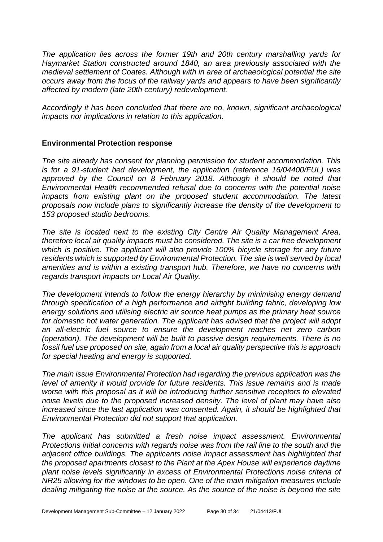*The application lies across the former 19th and 20th century marshalling yards for Haymarket Station constructed around 1840, an area previously associated with the medieval settlement of Coates. Although with in area of archaeological potential the site occurs away from the focus of the railway yards and appears to have been significantly affected by modern (late 20th century) redevelopment.* 

*Accordingly it has been concluded that there are no, known, significant archaeological impacts nor implications in relation to this application.*

#### **Environmental Protection response**

*The site already has consent for planning permission for student accommodation. This is for a 91-student bed development, the application (reference 16/04400/FUL) was approved by the Council on 8 February 2018. Although it should be noted that Environmental Health recommended refusal due to concerns with the potential noise impacts from existing plant on the proposed student accommodation. The latest proposals now include plans to significantly increase the density of the development to 153 proposed studio bedrooms.*

*The site is located next to the existing City Centre Air Quality Management Area, therefore local air quality impacts must be considered. The site is a car free development which is positive. The applicant will also provide 100% bicycle storage for any future residents which is supported by Environmental Protection. The site is well served by local amenities and is within a existing transport hub. Therefore, we have no concerns with regards transport impacts on Local Air Quality.*

*The development intends to follow the energy hierarchy by minimising energy demand through specification of a high performance and airtight building fabric, developing low energy solutions and utilising electric air source heat pumps as the primary heat source for domestic hot water generation. The applicant has advised that the project will adopt an all-electric fuel source to ensure the development reaches net zero carbon (operation). The development will be built to passive design requirements. There is no fossil fuel use proposed on site, again from a local air quality perspective this is approach for special heating and energy is supported.* 

*The main issue Environmental Protection had regarding the previous application was the level of amenity it would provide for future residents. This issue remains and is made worse with this proposal as it will be introducing further sensitive receptors to elevated noise levels due to the proposed increased density. The level of plant may have also increased since the last application was consented. Again, it should be highlighted that Environmental Protection did not support that application.* 

*The applicant has submitted a fresh noise impact assessment. Environmental Protections initial concerns with regards noise was from the rail line to the south and the adjacent office buildings. The applicants noise impact assessment has highlighted that the proposed apartments closest to the Plant at the Apex House will experience daytime plant noise levels significantly in excess of Environmental Protections noise criteria of NR25 allowing for the windows to be open. One of the main mitigation measures include dealing mitigating the noise at the source. As the source of the noise is beyond the site*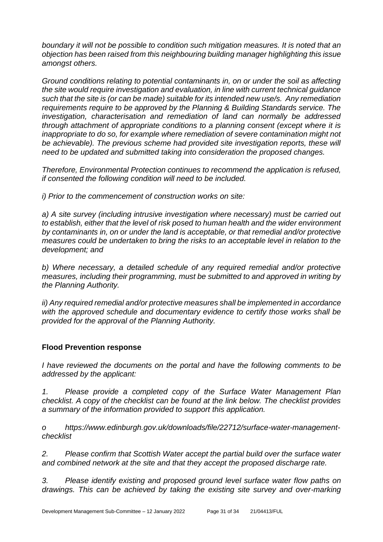*boundary it will not be possible to condition such mitigation measures. It is noted that an objection has been raised from this neighbouring building manager highlighting this issue amongst others.* 

*Ground conditions relating to potential contaminants in, on or under the soil as affecting the site would require investigation and evaluation, in line with current technical guidance such that the site is (or can be made) suitable for its intended new use/s. Any remediation requirements require to be approved by the Planning & Building Standards service. The investigation, characterisation and remediation of land can normally be addressed through attachment of appropriate conditions to a planning consent (except where it is inappropriate to do so, for example where remediation of severe contamination might not*  be achievable). The previous scheme had provided site investigation reports, these will *need to be updated and submitted taking into consideration the proposed changes.* 

*Therefore, Environmental Protection continues to recommend the application is refused, if consented the following condition will need to be included.*

*i) Prior to the commencement of construction works on site:*

*a) A site survey (including intrusive investigation where necessary) must be carried out to establish, either that the level of risk posed to human health and the wider environment by contaminants in, on or under the land is acceptable, or that remedial and/or protective measures could be undertaken to bring the risks to an acceptable level in relation to the development; and*

*b) Where necessary, a detailed schedule of any required remedial and/or protective measures, including their programming, must be submitted to and approved in writing by the Planning Authority.*

*ii) Any required remedial and/or protective measures shall be implemented in accordance with the approved schedule and documentary evidence to certify those works shall be provided for the approval of the Planning Authority.*

#### **Flood Prevention response**

*I have reviewed the documents on the portal and have the following comments to be addressed by the applicant:*

*1. Please provide a completed copy of the Surface Water Management Plan checklist. A copy of the checklist can be found at the link below. The checklist provides a summary of the information provided to support this application.*

*o https://www.edinburgh.gov.uk/downloads/file/22712/surface-water-managementchecklist* 

*2. Please confirm that Scottish Water accept the partial build over the surface water and combined network at the site and that they accept the proposed discharge rate.* 

*3. Please identify existing and proposed ground level surface water flow paths on drawings. This can be achieved by taking the existing site survey and over-marking*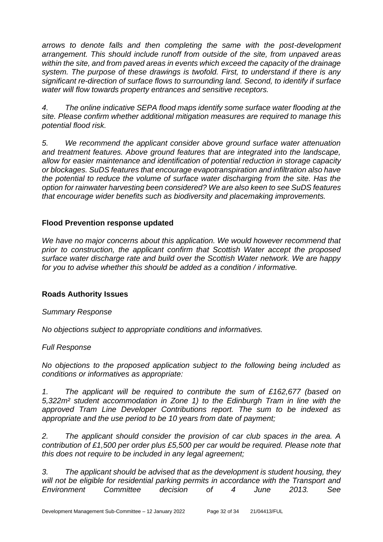*arrows to denote falls and then completing the same with the post-development arrangement. This should include runoff from outside of the site, from unpaved areas within the site, and from paved areas in events which exceed the capacity of the drainage system. The purpose of these drawings is twofold. First, to understand if there is any significant re-direction of surface flows to surrounding land. Second, to identify if surface water will flow towards property entrances and sensitive receptors.*

*4. The online indicative SEPA flood maps identify some surface water flooding at the site. Please confirm whether additional mitigation measures are required to manage this potential flood risk.* 

*5. We recommend the applicant consider above ground surface water attenuation and treatment features. Above ground features that are integrated into the landscape, allow for easier maintenance and identification of potential reduction in storage capacity or blockages. SuDS features that encourage evapotranspiration and infiltration also have the potential to reduce the volume of surface water discharging from the site. Has the option for rainwater harvesting been considered? We are also keen to see SuDS features that encourage wider benefits such as biodiversity and placemaking improvements.*

#### **Flood Prevention response updated**

*We have no major concerns about this application. We would however recommend that prior to construction, the applicant confirm that Scottish Water accept the proposed surface water discharge rate and build over the Scottish Water network. We are happy for you to advise whether this should be added as a condition / informative.*

#### **Roads Authority Issues**

#### *Summary Response*

*No objections subject to appropriate conditions and informatives.*

#### *Full Response*

*No objections to the proposed application subject to the following being included as conditions or informatives as appropriate:*

*1. The applicant will be required to contribute the sum of £162,677 (based on 5,322m² student accommodation in Zone 1) to the Edinburgh Tram in line with the approved Tram Line Developer Contributions report. The sum to be indexed as appropriate and the use period to be 10 years from date of payment;*

*2. The applicant should consider the provision of car club spaces in the area. A contribution of £1,500 per order plus £5,500 per car would be required. Please note that this does not require to be included in any legal agreement;*

*3. The applicant should be advised that as the development is student housing, they will not be eligible for residential parking permits in accordance with the Transport and Environment Committee decision of 4 June 2013. See*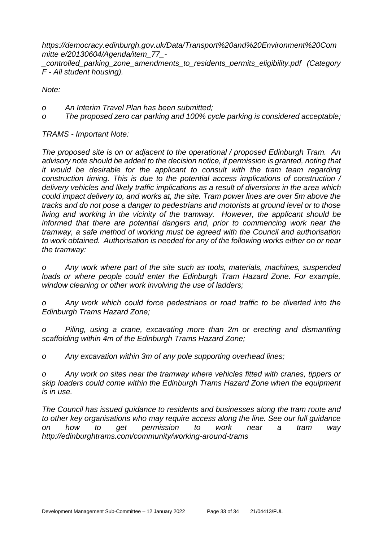*https://democracy.edinburgh.gov.uk/Data/Transport%20and%20Environment%20Com mitte e/20130604/Agenda/item\_77\_-*

*\_controlled\_parking\_zone\_amendments\_to\_residents\_permits\_eligibility.pdf (Category F - All student housing).*

*Note:*

- *o An Interim Travel Plan has been submitted;*
- *o The proposed zero car parking and 100% cycle parking is considered acceptable;*

*TRAMS - Important Note:*

*The proposed site is on or adjacent to the operational / proposed Edinburgh Tram. An advisory note should be added to the decision notice, if permission is granted, noting that it would be desirable for the applicant to consult with the tram team regarding construction timing. This is due to the potential access implications of construction / delivery vehicles and likely traffic implications as a result of diversions in the area which could impact delivery to, and works at, the site. Tram power lines are over 5m above the tracks and do not pose a danger to pedestrians and motorists at ground level or to those living and working in the vicinity of the tramway. However, the applicant should be*  informed that there are potential dangers and, prior to commencing work near the *tramway, a safe method of working must be agreed with the Council and authorisation to work obtained. Authorisation is needed for any of the following works either on or near the tramway:*

*o Any work where part of the site such as tools, materials, machines, suspended*  loads or where people could enter the Edinburgh Tram Hazard Zone. For example, *window cleaning or other work involving the use of ladders;*

*o Any work which could force pedestrians or road traffic to be diverted into the Edinburgh Trams Hazard Zone;*

*o Piling, using a crane, excavating more than 2m or erecting and dismantling scaffolding within 4m of the Edinburgh Trams Hazard Zone;*

*o Any excavation within 3m of any pole supporting overhead lines;*

*o Any work on sites near the tramway where vehicles fitted with cranes, tippers or skip loaders could come within the Edinburgh Trams Hazard Zone when the equipment is in use.*

*The Council has issued guidance to residents and businesses along the tram route and to other key organisations who may require access along the line. See our full guidance on how to get permission to work near a tram way http://edinburghtrams.com/community/working-around-trams*